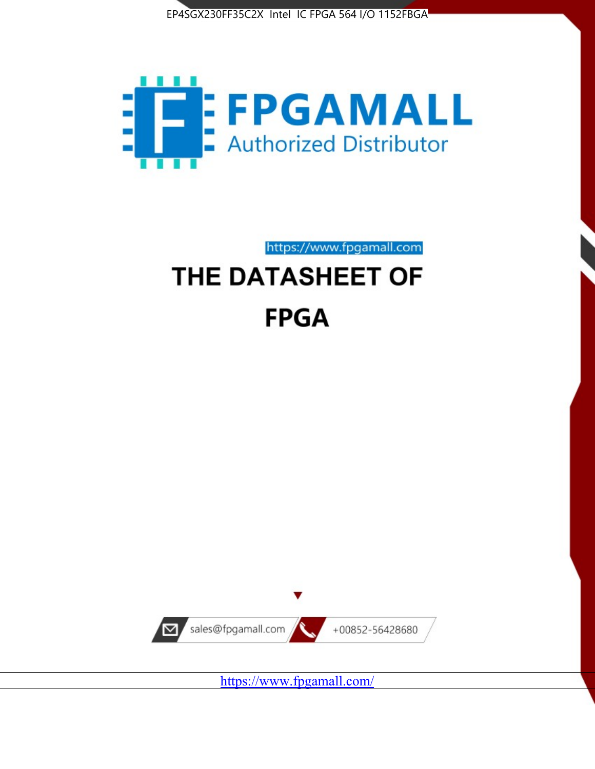



https://www.fpgamall.com

# THE DATASHEET OF **FPGA**



<https://www.fpgamall.com/>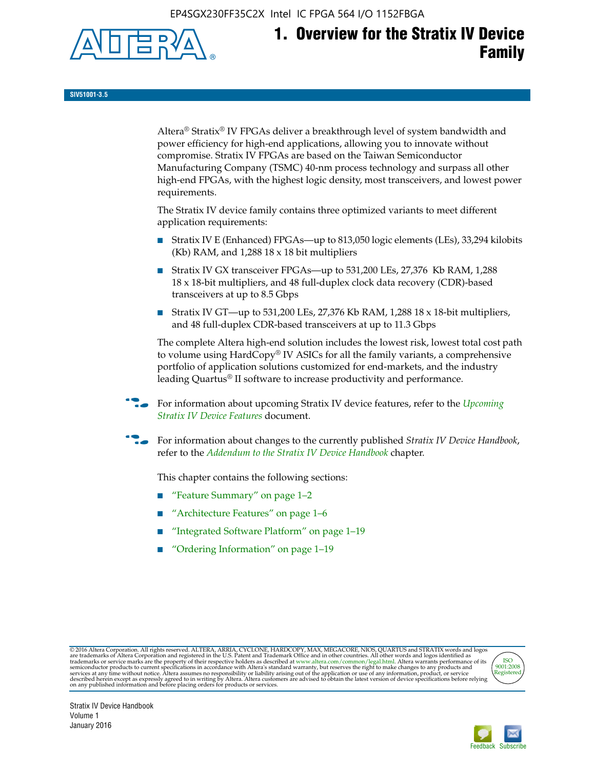EP4SGX230FF35C2X Intel IC FPGA 564 I/O 1152FBGA



**SIV51001-3.5**

Altera® Stratix® IV FPGAs deliver a breakthrough level of system bandwidth and power efficiency for high-end applications, allowing you to innovate without compromise. Stratix IV FPGAs are based on the Taiwan Semiconductor Manufacturing Company (TSMC) 40-nm process technology and surpass all other high-end FPGAs, with the highest logic density, most transceivers, and lowest power requirements.

The Stratix IV device family contains three optimized variants to meet different application requirements:

- Stratix IV E (Enhanced) FPGAs—up to 813,050 logic elements (LEs), 33,294 kilobits (Kb) RAM, and 1,288 18 x 18 bit multipliers
- Stratix IV GX transceiver FPGAs—up to 531,200 LEs, 27,376 Kb RAM, 1,288 18 x 18-bit multipliers, and 48 full-duplex clock data recovery (CDR)-based transceivers at up to 8.5 Gbps
- Stratix IV GT—up to 531,200 LEs, 27,376 Kb RAM, 1,288 18 x 18-bit multipliers, and 48 full-duplex CDR-based transceivers at up to 11.3 Gbps

The complete Altera high-end solution includes the lowest risk, lowest total cost path to volume using HardCopy® IV ASICs for all the family variants, a comprehensive portfolio of application solutions customized for end-markets, and the industry leading Quartus® II software to increase productivity and performance.

f For information about upcoming Stratix IV device features, refer to the *[Upcoming](http://www.altera.com/literature/hb/stratix-iv/uf01001.pdf?GSA_pos=2&WT.oss_r=1&WT.oss=upcoming)  [Stratix IV Device Features](http://www.altera.com/literature/hb/stratix-iv/uf01001.pdf?GSA_pos=2&WT.oss_r=1&WT.oss=upcoming)* document.

f For information about changes to the currently published *Stratix IV Device Handbook*, refer to the *[Addendum to the Stratix IV Device Handbook](http://www.altera.com/literature/hb/stratix-iv/stx4_siv54002.pdf)* chapter.

This chapter contains the following sections:

- "Feature Summary" on page 1–2
- "Architecture Features" on page 1–6
- "Integrated Software Platform" on page 1–19
- "Ordering Information" on page 1–19

@2016 Altera Corporation. All rights reserved. ALTERA, ARRIA, CYCLONE, HARDCOPY, MAX, MEGACORE, NIOS, QUARTUS and STRATIX words and logos are trademarks of Altera Corporation and registered in the U.S. Patent and Trademark



Stratix IV Device Handbook Volume 1 January 2016

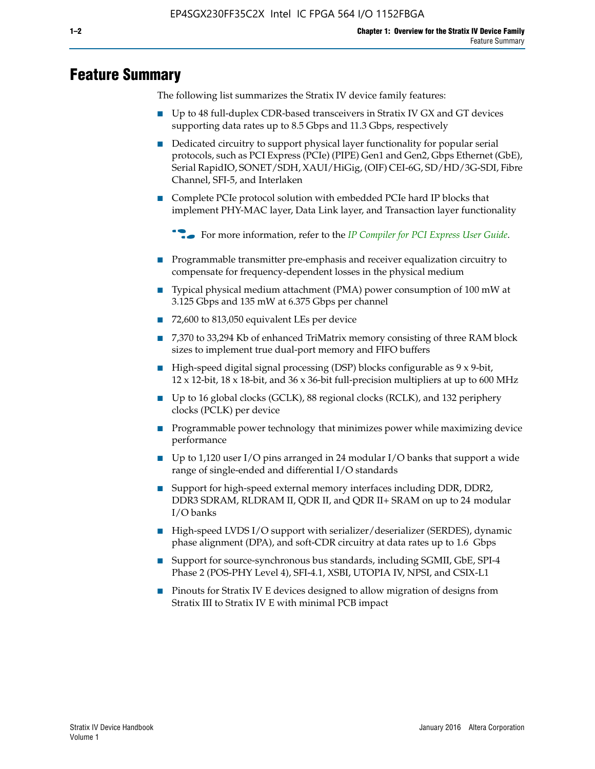# **Feature Summary**

The following list summarizes the Stratix IV device family features:

- Up to 48 full-duplex CDR-based transceivers in Stratix IV GX and GT devices supporting data rates up to 8.5 Gbps and 11.3 Gbps, respectively
- Dedicated circuitry to support physical layer functionality for popular serial protocols, such as PCI Express (PCIe) (PIPE) Gen1 and Gen2, Gbps Ethernet (GbE), Serial RapidIO, SONET/SDH, XAUI/HiGig, (OIF) CEI-6G, SD/HD/3G-SDI, Fibre Channel, SFI-5, and Interlaken
- Complete PCIe protocol solution with embedded PCIe hard IP blocks that implement PHY-MAC layer, Data Link layer, and Transaction layer functionality

**For more information, refer to the** *[IP Compiler for PCI Express User Guide](http://www.altera.com/literature/ug/ug_pci_express.pdf)***.** 

- Programmable transmitter pre-emphasis and receiver equalization circuitry to compensate for frequency-dependent losses in the physical medium
- Typical physical medium attachment (PMA) power consumption of 100 mW at 3.125 Gbps and 135 mW at 6.375 Gbps per channel
- 72,600 to 813,050 equivalent LEs per device
- 7,370 to 33,294 Kb of enhanced TriMatrix memory consisting of three RAM block sizes to implement true dual-port memory and FIFO buffers
- High-speed digital signal processing (DSP) blocks configurable as 9 x 9-bit,  $12 \times 12$ -bit,  $18 \times 18$ -bit, and  $36 \times 36$ -bit full-precision multipliers at up to 600 MHz
- Up to 16 global clocks (GCLK), 88 regional clocks (RCLK), and 132 periphery clocks (PCLK) per device
- Programmable power technology that minimizes power while maximizing device performance
- Up to 1,120 user I/O pins arranged in 24 modular I/O banks that support a wide range of single-ended and differential I/O standards
- Support for high-speed external memory interfaces including DDR, DDR2, DDR3 SDRAM, RLDRAM II, QDR II, and QDR II+ SRAM on up to 24 modular I/O banks
- High-speed LVDS I/O support with serializer/deserializer (SERDES), dynamic phase alignment (DPA), and soft-CDR circuitry at data rates up to 1.6 Gbps
- Support for source-synchronous bus standards, including SGMII, GbE, SPI-4 Phase 2 (POS-PHY Level 4), SFI-4.1, XSBI, UTOPIA IV, NPSI, and CSIX-L1
- Pinouts for Stratix IV E devices designed to allow migration of designs from Stratix III to Stratix IV E with minimal PCB impact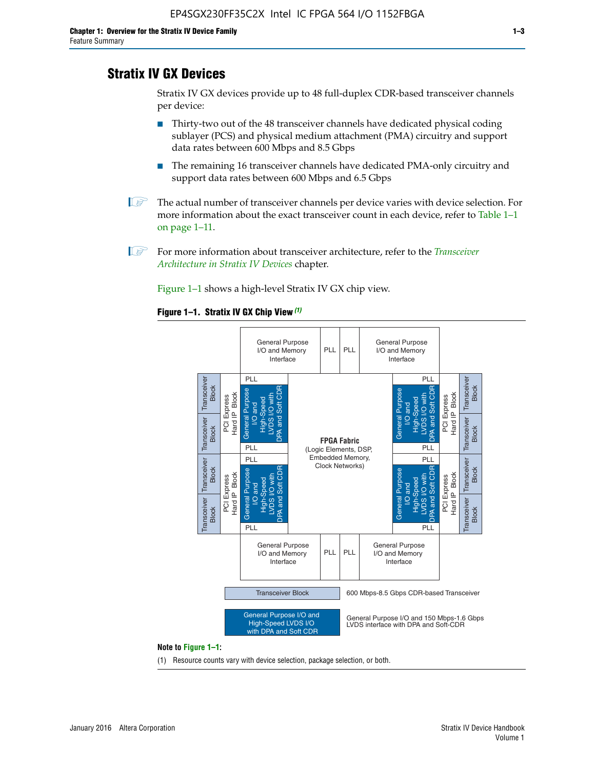# **Stratix IV GX Devices**

Stratix IV GX devices provide up to 48 full-duplex CDR-based transceiver channels per device:

- Thirty-two out of the 48 transceiver channels have dedicated physical coding sublayer (PCS) and physical medium attachment (PMA) circuitry and support data rates between 600 Mbps and 8.5 Gbps
- The remaining 16 transceiver channels have dedicated PMA-only circuitry and support data rates between 600 Mbps and 6.5 Gbps
- **1 The actual number of transceiver channels per device varies with device selection. For** more information about the exact transceiver count in each device, refer to Table 1–1 on page 1–11.
- 1 For more information about transceiver architecture, refer to the *[Transceiver](http://www.altera.com/literature/hb/stratix-iv/stx4_siv52001.pdf)  [Architecture in Stratix IV Devices](http://www.altera.com/literature/hb/stratix-iv/stx4_siv52001.pdf)* chapter.

Figure 1–1 shows a high-level Stratix IV GX chip view.

#### **Figure 1–1. Stratix IV GX Chip View** *(1)*



#### **Note to Figure 1–1:**

(1) Resource counts vary with device selection, package selection, or both.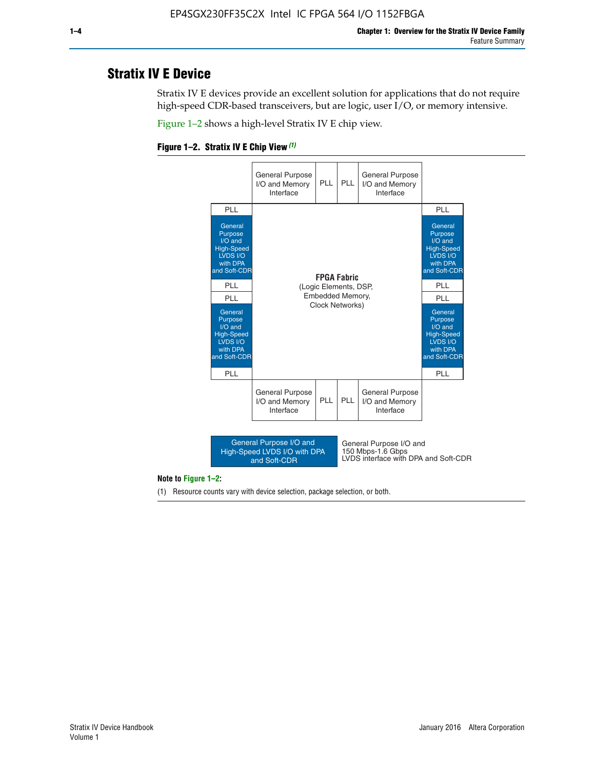# **Stratix IV E Device**

Stratix IV E devices provide an excellent solution for applications that do not require high-speed CDR-based transceivers, but are logic, user I/O, or memory intensive.

Figure 1–2 shows a high-level Stratix IV E chip view.





#### **Note to Figure 1–2:**

(1) Resource counts vary with device selection, package selection, or both.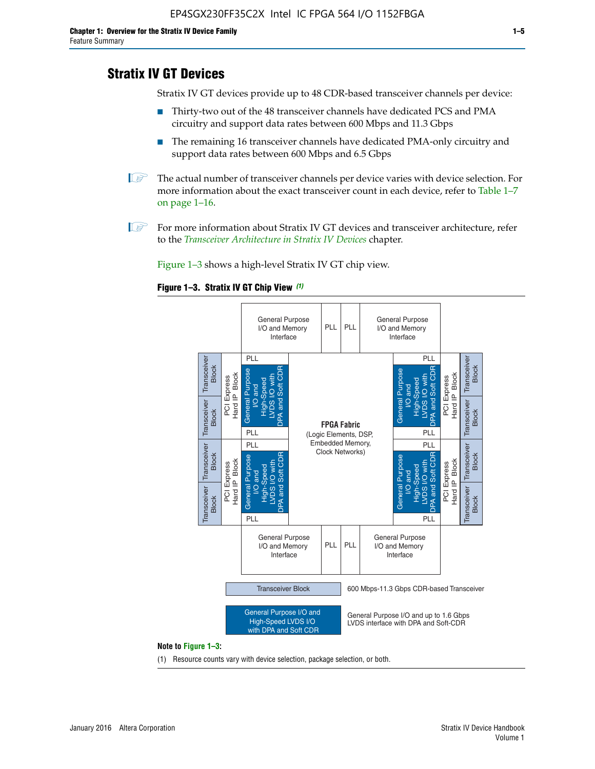# **Stratix IV GT Devices**

Stratix IV GT devices provide up to 48 CDR-based transceiver channels per device:

- Thirty-two out of the 48 transceiver channels have dedicated PCS and PMA circuitry and support data rates between 600 Mbps and 11.3 Gbps
- The remaining 16 transceiver channels have dedicated PMA-only circuitry and support data rates between 600 Mbps and 6.5 Gbps
- **1** The actual number of transceiver channels per device varies with device selection. For more information about the exact transceiver count in each device, refer to Table 1–7 on page 1–16.
- $\mathbb{I}$  For more information about Stratix IV GT devices and transceiver architecture, refer to the *[Transceiver Architecture in Stratix IV Devices](http://www.altera.com/literature/hb/stratix-iv/stx4_siv52001.pdf)* chapter.

Figure 1–3 shows a high-level Stratix IV GT chip view.

#### **Figure 1–3. Stratix IV GT Chip View** *(1)*



(1) Resource counts vary with device selection, package selection, or both.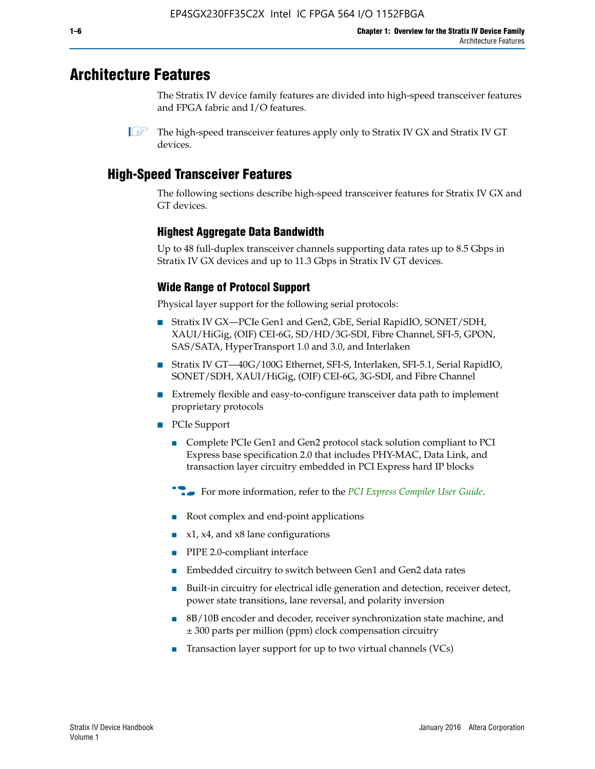# **Architecture Features**

The Stratix IV device family features are divided into high-speed transceiver features and FPGA fabric and I/O features.

 $\mathbb{I}$  The high-speed transceiver features apply only to Stratix IV GX and Stratix IV GT devices.

# **High-Speed Transceiver Features**

The following sections describe high-speed transceiver features for Stratix IV GX and GT devices.

## **Highest Aggregate Data Bandwidth**

Up to 48 full-duplex transceiver channels supporting data rates up to 8.5 Gbps in Stratix IV GX devices and up to 11.3 Gbps in Stratix IV GT devices.

## **Wide Range of Protocol Support**

Physical layer support for the following serial protocols:

- Stratix IV GX—PCIe Gen1 and Gen2, GbE, Serial RapidIO, SONET/SDH, XAUI/HiGig, (OIF) CEI-6G, SD/HD/3G-SDI, Fibre Channel, SFI-5, GPON, SAS/SATA, HyperTransport 1.0 and 3.0, and Interlaken
- Stratix IV GT—40G/100G Ethernet, SFI-S, Interlaken, SFI-5.1, Serial RapidIO, SONET/SDH, XAUI/HiGig, (OIF) CEI-6G, 3G-SDI, and Fibre Channel
- Extremely flexible and easy-to-configure transceiver data path to implement proprietary protocols
- PCIe Support
	- Complete PCIe Gen1 and Gen2 protocol stack solution compliant to PCI Express base specification 2.0 that includes PHY-MAC, Data Link, and transaction layer circuitry embedded in PCI Express hard IP blocks
	- **For more information, refer to the [PCI Express Compiler User Guide](http://www.altera.com/literature/ug/ug_pci_express.pdf).**
	- Root complex and end-point applications
	- $x1, x4,$  and  $x8$  lane configurations
	- PIPE 2.0-compliant interface
	- Embedded circuitry to switch between Gen1 and Gen2 data rates
	- Built-in circuitry for electrical idle generation and detection, receiver detect, power state transitions, lane reversal, and polarity inversion
	- 8B/10B encoder and decoder, receiver synchronization state machine, and ± 300 parts per million (ppm) clock compensation circuitry
	- Transaction layer support for up to two virtual channels (VCs)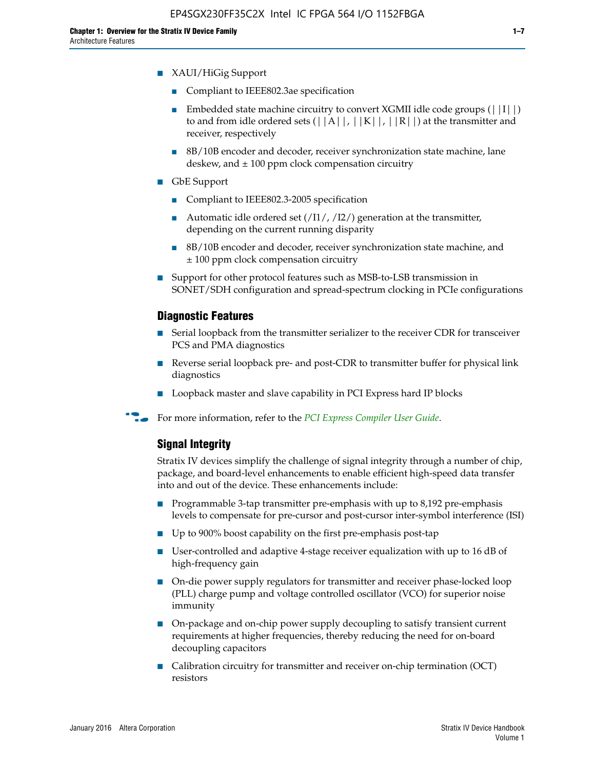- XAUI/HiGig Support
	- Compliant to IEEE802.3ae specification
	- **■** Embedded state machine circuitry to convert XGMII idle code groups  $(|11|)$ to and from idle ordered sets  $(|A|, |K|, |R|)$  at the transmitter and receiver, respectively
	- 8B/10B encoder and decoder, receiver synchronization state machine, lane deskew, and  $\pm$  100 ppm clock compensation circuitry
- GbE Support
	- Compliant to IEEE802.3-2005 specification
	- Automatic idle ordered set  $(111/112/1)$  generation at the transmitter, depending on the current running disparity
	- 8B/10B encoder and decoder, receiver synchronization state machine, and ± 100 ppm clock compensation circuitry
- Support for other protocol features such as MSB-to-LSB transmission in SONET/SDH configuration and spread-spectrum clocking in PCIe configurations

#### **Diagnostic Features**

- Serial loopback from the transmitter serializer to the receiver CDR for transceiver PCS and PMA diagnostics
- Reverse serial loopback pre- and post-CDR to transmitter buffer for physical link diagnostics
- Loopback master and slave capability in PCI Express hard IP blocks
- **For more information, refer to the** *[PCI Express Compiler User Guide](http://www.altera.com/literature/ug/ug_pci_express.pdf)***.**

#### **Signal Integrity**

Stratix IV devices simplify the challenge of signal integrity through a number of chip, package, and board-level enhancements to enable efficient high-speed data transfer into and out of the device. These enhancements include:

- Programmable 3-tap transmitter pre-emphasis with up to 8,192 pre-emphasis levels to compensate for pre-cursor and post-cursor inter-symbol interference (ISI)
- Up to 900% boost capability on the first pre-emphasis post-tap
- User-controlled and adaptive 4-stage receiver equalization with up to 16 dB of high-frequency gain
- On-die power supply regulators for transmitter and receiver phase-locked loop (PLL) charge pump and voltage controlled oscillator (VCO) for superior noise immunity
- On-package and on-chip power supply decoupling to satisfy transient current requirements at higher frequencies, thereby reducing the need for on-board decoupling capacitors
- Calibration circuitry for transmitter and receiver on-chip termination (OCT) resistors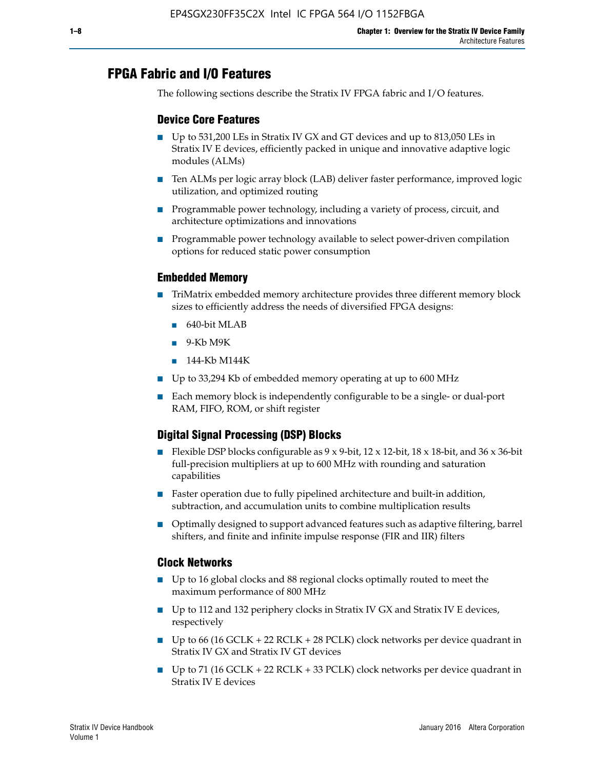# **FPGA Fabric and I/O Features**

The following sections describe the Stratix IV FPGA fabric and I/O features.

## **Device Core Features**

- Up to 531,200 LEs in Stratix IV GX and GT devices and up to 813,050 LEs in Stratix IV E devices, efficiently packed in unique and innovative adaptive logic modules (ALMs)
- Ten ALMs per logic array block (LAB) deliver faster performance, improved logic utilization, and optimized routing
- Programmable power technology, including a variety of process, circuit, and architecture optimizations and innovations
- Programmable power technology available to select power-driven compilation options for reduced static power consumption

#### **Embedded Memory**

- TriMatrix embedded memory architecture provides three different memory block sizes to efficiently address the needs of diversified FPGA designs:
	- 640-bit MLAB
	- 9-Kb M9K
	- 144-Kb M144K
- Up to 33,294 Kb of embedded memory operating at up to 600 MHz
- Each memory block is independently configurable to be a single- or dual-port RAM, FIFO, ROM, or shift register

## **Digital Signal Processing (DSP) Blocks**

- Flexible DSP blocks configurable as  $9 \times 9$ -bit,  $12 \times 12$ -bit,  $18 \times 18$ -bit, and  $36 \times 36$ -bit full-precision multipliers at up to 600 MHz with rounding and saturation capabilities
- Faster operation due to fully pipelined architecture and built-in addition, subtraction, and accumulation units to combine multiplication results
- Optimally designed to support advanced features such as adaptive filtering, barrel shifters, and finite and infinite impulse response (FIR and IIR) filters

#### **Clock Networks**

- Up to 16 global clocks and 88 regional clocks optimally routed to meet the maximum performance of 800 MHz
- Up to 112 and 132 periphery clocks in Stratix IV GX and Stratix IV E devices, respectively
- Up to 66 (16 GCLK + 22 RCLK + 28 PCLK) clock networks per device quadrant in Stratix IV GX and Stratix IV GT devices
- Up to 71 (16 GCLK + 22 RCLK + 33 PCLK) clock networks per device quadrant in Stratix IV E devices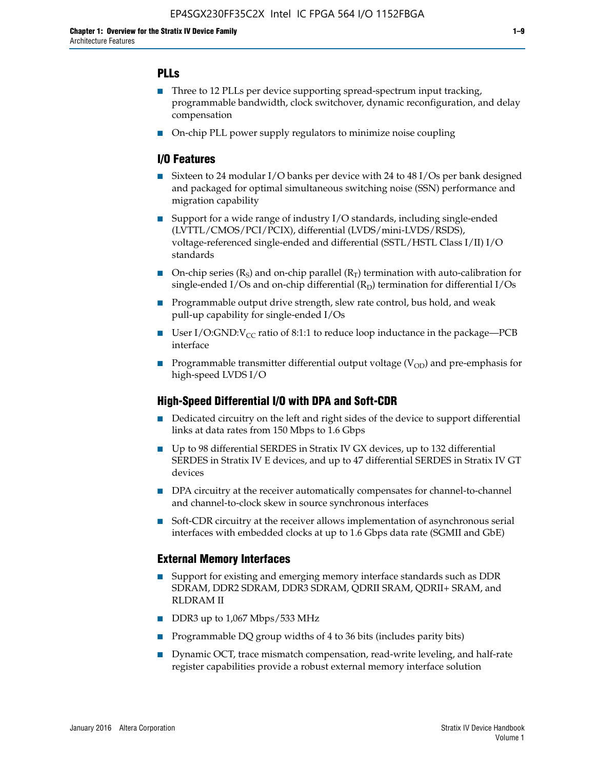## **PLLs**

- Three to 12 PLLs per device supporting spread-spectrum input tracking, programmable bandwidth, clock switchover, dynamic reconfiguration, and delay compensation
- On-chip PLL power supply regulators to minimize noise coupling

## **I/O Features**

- Sixteen to 24 modular I/O banks per device with 24 to 48 I/Os per bank designed and packaged for optimal simultaneous switching noise (SSN) performance and migration capability
- Support for a wide range of industry I/O standards, including single-ended (LVTTL/CMOS/PCI/PCIX), differential (LVDS/mini-LVDS/RSDS), voltage-referenced single-ended and differential (SSTL/HSTL Class I/II) I/O standards
- **O**n-chip series  $(R_S)$  and on-chip parallel  $(R_T)$  termination with auto-calibration for single-ended I/Os and on-chip differential  $(R_D)$  termination for differential I/Os
- Programmable output drive strength, slew rate control, bus hold, and weak pull-up capability for single-ended I/Os
- User I/O:GND: $V_{CC}$  ratio of 8:1:1 to reduce loop inductance in the package—PCB interface
- **■** Programmable transmitter differential output voltage ( $V_{OD}$ ) and pre-emphasis for high-speed LVDS I/O

#### **High-Speed Differential I/O with DPA and Soft-CDR**

- Dedicated circuitry on the left and right sides of the device to support differential links at data rates from 150 Mbps to 1.6 Gbps
- Up to 98 differential SERDES in Stratix IV GX devices, up to 132 differential SERDES in Stratix IV E devices, and up to 47 differential SERDES in Stratix IV GT devices
- DPA circuitry at the receiver automatically compensates for channel-to-channel and channel-to-clock skew in source synchronous interfaces
- Soft-CDR circuitry at the receiver allows implementation of asynchronous serial interfaces with embedded clocks at up to 1.6 Gbps data rate (SGMII and GbE)

#### **External Memory Interfaces**

- Support for existing and emerging memory interface standards such as DDR SDRAM, DDR2 SDRAM, DDR3 SDRAM, QDRII SRAM, QDRII+ SRAM, and RLDRAM II
- DDR3 up to 1,067 Mbps/533 MHz
- Programmable DQ group widths of 4 to 36 bits (includes parity bits)
- Dynamic OCT, trace mismatch compensation, read-write leveling, and half-rate register capabilities provide a robust external memory interface solution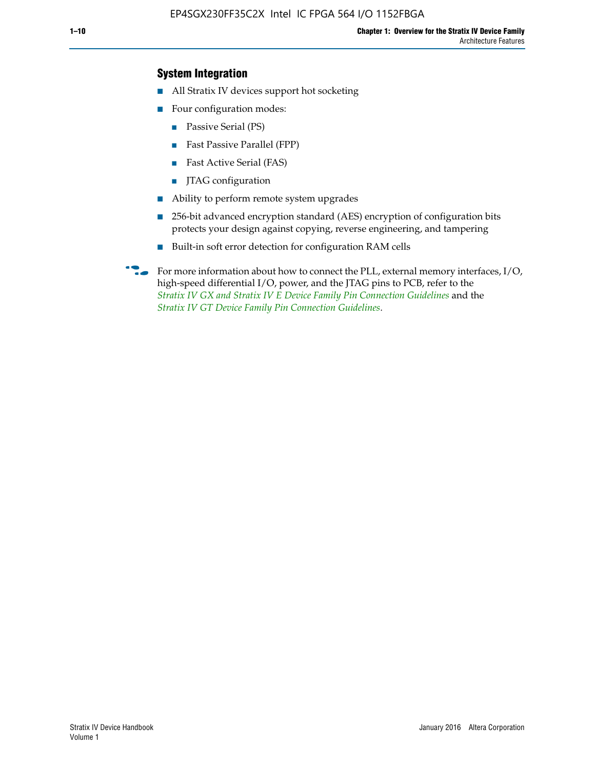## **System Integration**

- All Stratix IV devices support hot socketing
- Four configuration modes:
	- Passive Serial (PS)
	- Fast Passive Parallel (FPP)
	- Fast Active Serial (FAS)
	- JTAG configuration
- Ability to perform remote system upgrades
- 256-bit advanced encryption standard (AES) encryption of configuration bits protects your design against copying, reverse engineering, and tampering
- Built-in soft error detection for configuration RAM cells
- For more information about how to connect the PLL, external memory interfaces,  $I/O$ , high-speed differential I/O, power, and the JTAG pins to PCB, refer to the *[Stratix IV GX and Stratix IV E Device Family Pin Connection Guidelines](http://www.altera.com/literature/dp/stratix4/PCG-01005.pdf)* and the *[Stratix IV GT Device Family Pin Connection Guidelines](http://www.altera.com/literature/dp/stratix4/PCG-01006.pdf)*.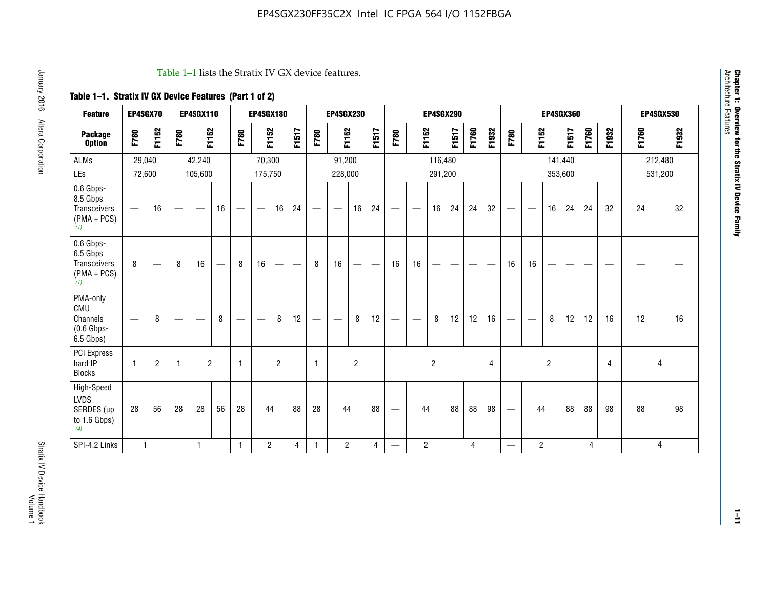#### Table 1–1 lists the Stratix IV GX device features.

# **Table 1–1. Stratix IV GX Device Features (Part 1 of 2)**

| <b>Feature</b>                                                 | EP4SGX70                 |                |                                  | <b>EP4SGX110</b>  |    |                                | <b>EP4SGX180</b>               |                |       |              | <b>EP4SGX230</b>         |                |       |                                 |                | <b>EP4SGX290</b> |       |       |                |                                 |                   | <b>EP4SGX360</b> |         |       |       |         | <b>EP4SGX530</b> |
|----------------------------------------------------------------|--------------------------|----------------|----------------------------------|-------------------|----|--------------------------------|--------------------------------|----------------|-------|--------------|--------------------------|----------------|-------|---------------------------------|----------------|------------------|-------|-------|----------------|---------------------------------|-------------------|------------------|---------|-------|-------|---------|------------------|
| <b>Package</b><br><b>Option</b>                                | F780                     | F1152          | F780                             | F1152             |    | F780                           | F1152                          |                | F1517 | F780         | F1152                    |                | F1517 | F780                            | F1152          |                  | F1517 | F1760 | F1932          | F780                            | F1152             |                  | F1517   | F1760 | F1932 | F1760   | F1932            |
| <b>ALMs</b>                                                    | 29,040                   |                |                                  | 42,240            |    |                                | 70,300                         |                |       |              | 91,200                   |                |       |                                 |                | 116,480          |       |       |                |                                 |                   |                  | 141,440 |       |       | 212,480 |                  |
| LEs                                                            | 72,600                   |                |                                  | 105,600           |    |                                | 175,750                        |                |       |              | 228,000                  |                |       |                                 |                | 291,200          |       |       |                |                                 |                   |                  | 353,600 |       |       |         | 531,200          |
| 0.6 Gbps-<br>8.5 Gbps<br>Transceivers<br>$(PMA + PCs)$<br>(1)  | $\overline{\phantom{0}}$ | 16             | $\hspace{0.05cm}$                | $\hspace{0.05cm}$ | 16 | $\qquad \qquad \longleftarrow$ | $\hspace{0.05cm}$              | 16             | 24    |              | $\overline{\phantom{a}}$ | 16             | 24    | —                               |                | 16               | 24    | 24    | 32             | $\overline{\phantom{0}}$        | $\hspace{0.05cm}$ | 16               | 24      | 24    | 32    | 24      | 32               |
| 0.6 Gbps-<br>6.5 Gbps<br>Transceivers<br>$(PMA + PCs)$<br>(1)  | 8                        |                | 8                                | 16                |    | 8                              | 16                             | -              |       | 8            | 16                       | —              |       | 16                              | 16             |                  |       |       |                | 16                              | 16                |                  |         |       |       |         |                  |
| PMA-only<br>CMU<br>Channels<br>$(0.6$ Gbps-<br>6.5 Gbps)       | $\overline{\phantom{0}}$ | 8              | $\overbrace{\phantom{12322111}}$ |                   | 8  | $\qquad \qquad \longleftarrow$ | $\qquad \qquad \longleftarrow$ | 8              | 12    |              |                          | 8              | 12    | $\hspace{0.1mm}-\hspace{0.1mm}$ |                | 8                | 12    | 12    | 16             | $\overline{\phantom{0}}$        | $\hspace{0.05cm}$ | 8                | 12      | 12    | 16    | 12      | 16               |
| <b>PCI Express</b><br>hard IP<br><b>Blocks</b>                 | $\mathbf{1}$             | $\overline{2}$ | $\mathbf 1$                      | $\overline{2}$    |    | $\mathbf{1}$                   |                                | $\overline{2}$ |       | $\mathbf{1}$ |                          | $\overline{c}$ |       |                                 |                | $\overline{c}$   |       |       | $\overline{4}$ |                                 |                   | $\overline{2}$   |         |       | 4     |         | 4                |
| High-Speed<br><b>LVDS</b><br>SERDES (up<br>to 1.6 Gbps)<br>(4) | 28                       | 56             | 28                               | 28                | 56 | 28                             | 44                             |                | 88    | 28           | 44                       |                | 88    | —                               | 44             |                  | 88    | 88    | 98             | $\hspace{0.1mm}-\hspace{0.1mm}$ | 44                |                  | 88      | 88    | 98    | 88      | 98               |
| SPI-4.2 Links                                                  | $\mathbf{1}$             |                |                                  | 1                 |    | $\mathbf{1}$                   | $\overline{c}$                 |                | 4     | 1            | $\overline{c}$           |                | 4     | —                               | $\overline{2}$ |                  |       | 4     |                | $\overline{\phantom{0}}$        | $\overline{2}$    |                  |         | 4     |       |         | 4                |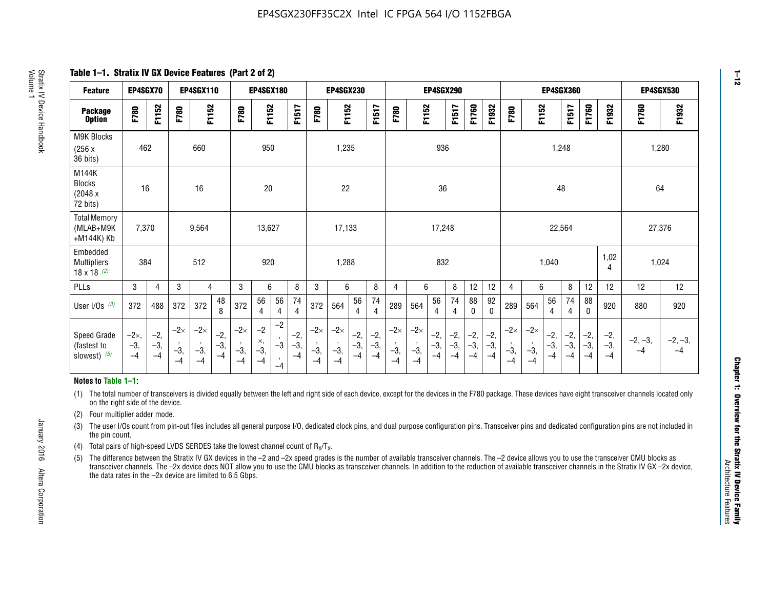**Table 1–1. Stratix IV GX Device Features (Part 2 of 2)**

| <b>Feature</b>                                       | EP4SGX70                |                        |                             | <b>EP4SGX110</b>            |                      |                             | <b>EP4SGX180</b>          |                                              |                        |                             | <b>EP4SGX230</b>            |                        |                      |                             |                             | EP4SGX290              |                      |                        |                        |                             |                             |                        | <b>EP4SGX360</b>     |                        |                        | <b>EP4SGX530</b>  |                   |
|------------------------------------------------------|-------------------------|------------------------|-----------------------------|-----------------------------|----------------------|-----------------------------|---------------------------|----------------------------------------------|------------------------|-----------------------------|-----------------------------|------------------------|----------------------|-----------------------------|-----------------------------|------------------------|----------------------|------------------------|------------------------|-----------------------------|-----------------------------|------------------------|----------------------|------------------------|------------------------|-------------------|-------------------|
| <b>Package</b><br><b>Option</b>                      | F780                    | F1152                  | F780                        | F1152                       |                      | F780                        | F1152                     |                                              | F1517                  | F780                        | F1152                       |                        | F1517                | F780                        | F1152                       |                        | F1517                | F1760                  | F1932                  | F780                        | F1152                       |                        | F1517                | F1760                  | F1932                  | F1760             | F1932             |
| M9K Blocks<br>(256x)<br>36 bits)                     | 462                     |                        |                             | 660                         |                      |                             | 950                       |                                              |                        |                             | 1,235                       |                        |                      |                             |                             | 936                    |                      |                        |                        |                             |                             | 1,248                  |                      |                        |                        | 1,280             |                   |
| M144K<br>Blocks<br>(2048 x<br>72 bits)               | 16                      |                        |                             | 16                          |                      |                             | $20\,$                    |                                              |                        |                             | 22                          |                        |                      |                             |                             | 36                     |                      |                        |                        |                             |                             | 48                     |                      |                        |                        | 64                |                   |
| <b>Total Memory</b><br>(MLAB+M9K<br>+M144K) Kb       | 7,370                   |                        |                             | 9,564                       |                      |                             | 13,627                    |                                              |                        |                             | 17,133                      |                        |                      |                             |                             | 17,248                 |                      |                        |                        |                             |                             | 22,564                 |                      |                        |                        | 27,376            |                   |
| Embedded<br><b>Multipliers</b><br>$18 \times 18$ (2) | 384                     |                        |                             | 512                         |                      |                             | 920                       |                                              |                        |                             | 1,288                       |                        |                      |                             |                             | 832                    |                      |                        |                        |                             |                             | 1,040                  |                      |                        | 1,02<br>4              | 1,024             |                   |
| PLLs                                                 | 3                       | 4                      | 3                           | 4                           |                      | 3                           | 6                         |                                              | 8                      | 3                           | 6                           |                        | 8                    | 4                           | 6                           |                        | 8                    | 12                     | 12                     | 4                           | 6                           |                        | 8                    | 12                     | 12                     | 12                | 12                |
| User I/Os $(3)$                                      | 372                     | 488                    | 372                         | 372                         | 48<br>8              | 372                         | 56<br>4                   | 56<br>4                                      | 74<br>$\overline{4}$   | 372                         | 564                         | 56<br>4                | 74<br>$\overline{4}$ | 289                         | 564                         | 56<br>4                | 74<br>4              | 88<br>0                | 92<br>$\mathbf 0$      | 289                         | 564                         | 56<br>4                | 74<br>4              | 88<br>0                | 920                    | 880               | 920               |
| Speed Grade<br>(fastest to<br>slowest) (5)           | $-2x,$<br>$-3,$<br>$-4$ | $-2,$<br>$-3,$<br>$-4$ | $-2\times$<br>$-3,$<br>$-4$ | $-2\times$<br>$-3,$<br>$-4$ | $-2,$<br>-3,<br>$-4$ | $-2\times$<br>$-3,$<br>$-4$ | $-2$<br>×,<br>$-3,$<br>-4 | $-2$<br>$\,$<br>$-3$<br>$\mathbf{r}$<br>$-4$ | $-2,$<br>$-3,$<br>$-4$ | $-2\times$<br>$-3,$<br>$-4$ | $-2\times$<br>$-3,$<br>$-4$ | $-2,$<br>$-3,$<br>$-4$ | $-2,$<br>-3,<br>$-4$ | $-2\times$<br>$-3,$<br>$-4$ | $-2\times$<br>$-3,$<br>$-4$ | $-2,$<br>$-3,$<br>$-4$ | $-2,$<br>-3,<br>$-4$ | $-2,$<br>$-3,$<br>$-4$ | $-2,$<br>$-3,$<br>$-4$ | $-2\times$<br>$-3,$<br>$-4$ | $-2\times$<br>$-3,$<br>$-4$ | $-2,$<br>$-3,$<br>$-4$ | $-2,$<br>-3,<br>$-4$ | $-2,$<br>$-3,$<br>$-4$ | $-2,$<br>$-3,$<br>$-4$ | $-2, -3,$<br>$-4$ | $-2, -3,$<br>$-4$ |

#### **Notes to Table 1–1:**

(1) The total number of transceivers is divided equally between the left and right side of each device, except for the devices in the F780 package. These devices have eight transceiver channels located only on the right side of the device.

(2) Four multiplier adder mode.

(3) The user I/Os count from pin-out files includes all general purpose I/O, dedicated clock pins, and dual purpose configuration pins. Transceiver pins and dedicated configuration pins are not included in the pin count.

- (4) Total pairs of high-speed LVDS SERDES take the lowest channel count of  $R_X/T_X$ .
- (5) The difference between the Stratix IV GX devices in the –2 and –2x speed grades is the number of available transceiver channels. The –2 device allows you to use the transceiver CMU blocks as transceiver channels. The –2x device does NOT allow you to use the CMU blocks as transceiver channels. In addition to the reduction of available transceiver channels in the Stratix IV GX –2x device, the data rates in the –2x device are limited to 6.5 Gbps.

January 2016 Altera Corporation

Altera Corporation

January 2016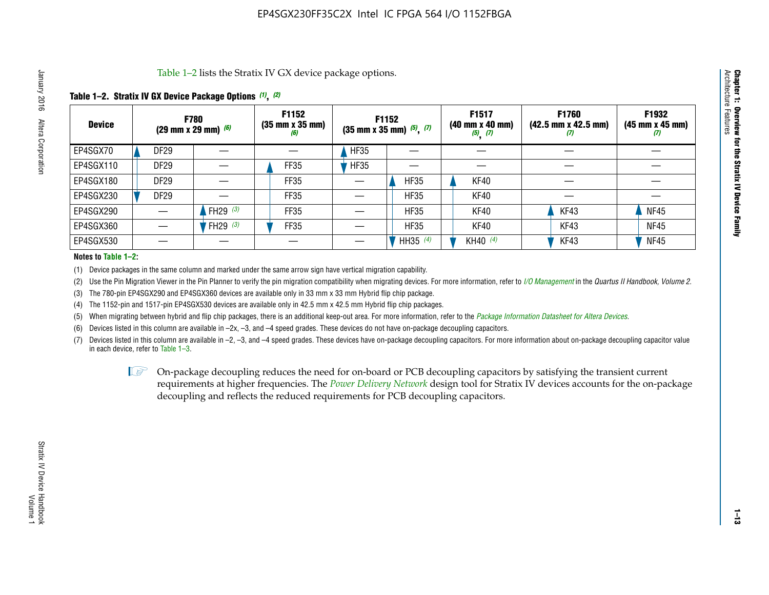Table 1–2 lists the Stratix IV GX device package options.

## **Table 1–2. Stratix IV GX Device Package Options** *(1)***,** *(2)*

| <b>Device</b> |                  | <b>F780</b><br>(29 mm x 29 mm) $(6)$ | F1152<br>$(35 \, \text{mm} \times 35 \, \text{mm})$<br>(6) |             | F1152<br>$(35$ mm x 35 mm) $(5)$ , $(7)$ | F1517<br>$(40 \, \text{mm} \times 40 \, \text{mm})$<br>$(5)$ $(7)$ | <b>F1760</b><br>$(42.5 \text{ mm} \times 42.5 \text{ mm})$<br>$\boldsymbol{U}$ | F1932<br>$(45 \, \text{mm} \times 45 \, \text{mm})$<br>(7) |
|---------------|------------------|--------------------------------------|------------------------------------------------------------|-------------|------------------------------------------|--------------------------------------------------------------------|--------------------------------------------------------------------------------|------------------------------------------------------------|
| EP4SGX70      | DF <sub>29</sub> |                                      |                                                            | <b>HF35</b> |                                          |                                                                    |                                                                                |                                                            |
| EP4SGX110     | DF <sub>29</sub> |                                      | FF35                                                       | <b>HF35</b> |                                          |                                                                    |                                                                                |                                                            |
| EP4SGX180     | DF <sub>29</sub> |                                      | FF35                                                       |             | <b>HF35</b>                              | KF40                                                               |                                                                                |                                                            |
| EP4SGX230     | DF <sub>29</sub> |                                      | FF35                                                       |             | <b>HF35</b>                              | KF40                                                               |                                                                                |                                                            |
| EP4SGX290     |                  | FH29 $(3)$                           | FF35                                                       |             | <b>HF35</b>                              | KF40                                                               | KF43                                                                           | <b>NF45</b>                                                |
| EP4SGX360     |                  | FH29 (3)                             | FF35                                                       |             | <b>HF35</b>                              | KF40                                                               | KF43                                                                           | <b>NF45</b>                                                |
| EP4SGX530     |                  |                                      |                                                            |             | HH35 $(4)$                               | KH40 $(4)$                                                         | KF43                                                                           | <b>NF45</b>                                                |

#### **Notes to Table 1–2:**

(1) Device packages in the same column and marked under the same arrow sign have vertical migration capability.

(2) Use the Pin Migration Viewer in the Pin Planner to verify the pin migration compatibility when migrating devices. For more information, refer to *[I/O Management](http://www.altera.com/literature/hb/qts/qts_qii52013.pdf)* in the *Quartus II Handbook, Volume 2*.

(3) The 780-pin EP4SGX290 and EP4SGX360 devices are available only in 33 mm x 33 mm Hybrid flip chip package.

(4) The 1152-pin and 1517-pin EP4SGX530 devices are available only in 42.5 mm x 42.5 mm Hybrid flip chip packages.

(5) When migrating between hybrid and flip chip packages, there is an additional keep-out area. For more information, refer to the *[Package Information Datasheet for Altera Devices](http://www.altera.com/literature/ds/dspkg.pdf)*.

(6) Devices listed in this column are available in –2x, –3, and –4 speed grades. These devices do not have on-package decoupling capacitors.

(7) Devices listed in this column are available in –2, –3, and –4 speed grades. These devices have on-package decoupling capacitors. For more information about on-package decoupling capacitor value in each device, refer to Table 1–3.

 $\mathbb{L}$ s On-package decoupling reduces the need for on-board or PCB decoupling capacitors by satisfying the transient current requirements at higher frequencies. The *[Power Delivery Network](http://www.altera.com/literature/ug/pdn_tool_stxiv.zip)* design tool for Stratix IV devices accounts for the on-package decoupling and reflects the reduced requirements for PCB decoupling capacitors.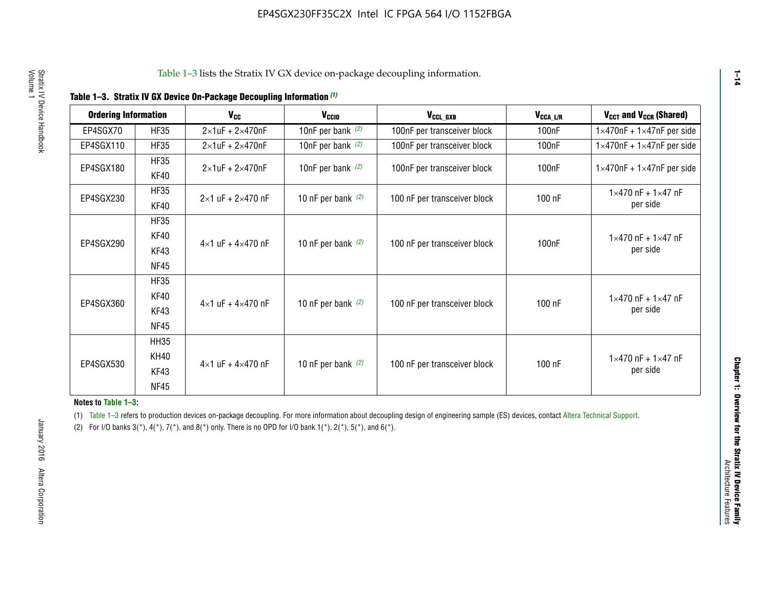|  |  | Table 1-3. Stratix IV GX Device On-Package Decoupling Information (1) |  |  |
|--|--|-----------------------------------------------------------------------|--|--|
|--|--|-----------------------------------------------------------------------|--|--|

| <b>Ordering Information</b> |             | <b>V<sub>cc</sub></b>               | V <sub>ccio</sub>    | V <sub>CCL_GXB</sub>         | $V_{\texttt{CCA}\_\textsf{L/R}}$ | $V_{CCT}$ and $V_{CCR}$ (Shared)              |  |
|-----------------------------|-------------|-------------------------------------|----------------------|------------------------------|----------------------------------|-----------------------------------------------|--|
|                             |             |                                     |                      |                              |                                  |                                               |  |
| EP4SGX70                    | <b>HF35</b> | $2\times1$ uF + $2\times470$ nF     | 10nF per bank $(2)$  | 100nF per transceiver block  | 100nF                            | $1 \times 470$ nF + $1 \times 47$ nF per side |  |
| EP4SGX110                   | <b>HF35</b> | $2\times1$ uF + 2 $\times$ 470nF    | 10nF per bank $(2)$  | 100nF per transceiver block  | 100 <sub>nF</sub>                | $1\times470$ nF + $1\times47$ nF per side     |  |
| EP4SGX180                   | <b>HF35</b> | $2\times1$ uF + $2\times470$ nF     | 10nF per bank $(2)$  | 100nF per transceiver block  | 100 <sub>n</sub> F               | $1 \times 470$ nF + $1 \times 47$ nF per side |  |
|                             | KF40        |                                     |                      |                              |                                  |                                               |  |
|                             | <b>HF35</b> |                                     |                      |                              |                                  | $1 \times 470$ nF + $1 \times 47$ nF          |  |
| EP4SGX230                   | KF40        | $2\times1$ uF + $2\times470$ nF     | 10 nF per bank $(2)$ | 100 nF per transceiver block | 100 nF                           | per side                                      |  |
|                             | <b>HF35</b> |                                     |                      |                              |                                  |                                               |  |
|                             | KF40        |                                     |                      |                              |                                  | $1 \times 470$ nF + $1 \times 47$ nF          |  |
| EP4SGX290                   | KF43        | $4 \times 1$ uF + $4 \times 470$ nF | 10 nF per bank $(2)$ | 100 nF per transceiver block | 100nF                            | per side                                      |  |
|                             | <b>NF45</b> |                                     |                      |                              |                                  |                                               |  |
|                             | <b>HF35</b> |                                     |                      |                              |                                  |                                               |  |
|                             | KF40        |                                     |                      |                              |                                  | $1 \times 470$ nF + $1 \times 47$ nF          |  |
| EP4SGX360                   | KF43        | $4 \times 1$ uF + $4 \times 470$ nF | 10 nF per bank $(2)$ | 100 nF per transceiver block | 100 nF                           | per side                                      |  |
|                             | <b>NF45</b> |                                     |                      |                              |                                  |                                               |  |
|                             | <b>HH35</b> |                                     |                      |                              |                                  |                                               |  |
|                             | <b>KH40</b> |                                     |                      |                              |                                  | $1 \times 470$ nF + $1 \times 47$ nF          |  |
| EP4SGX530                   | KF43        | $4 \times 1$ uF + $4 \times 470$ nF | 10 nF per bank $(2)$ | 100 nF per transceiver block | 100 nF                           | per side                                      |  |
|                             | <b>NF45</b> |                                     |                      |                              |                                  |                                               |  |

**Notes to Table 1–3:**

(1) Table 1-3 refers to production devices on-package decoupling. For more information about decoupling design of engineering sample (ES) devices, contact [Altera Technical Support](http://mysupport.altera.com/eservice/login.asp).

(2) For I/O banks  $3(*)$ ,  $4(*)$ ,  $7(*)$ , and  $8(*)$  only. There is no OPD for I/O bank  $1(*)$ ,  $2(*)$ ,  $5(*)$ , and  $6(*)$ .

**1–14**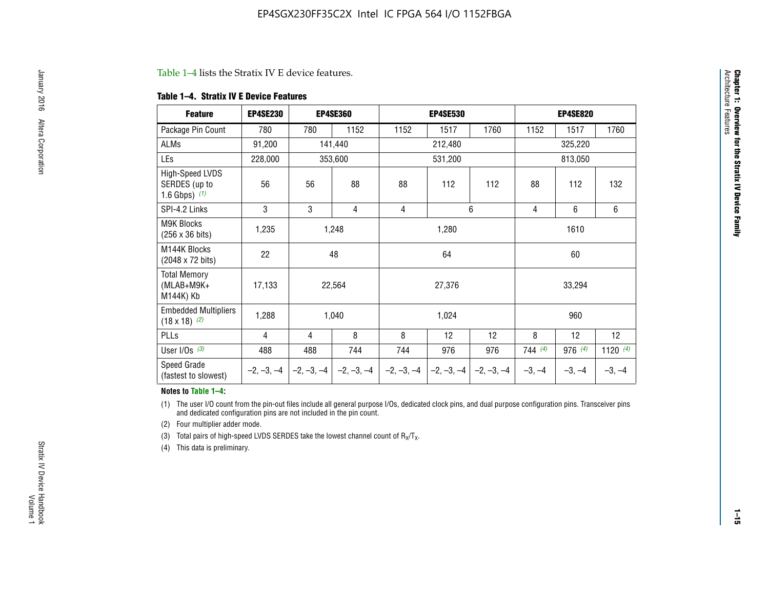#### Table 1–4 lists the Stratix IV E device features.

#### **Table 1–4. Stratix IV E Device Features**

| <b>Feature</b>                                      | <b>EP4SE230</b> |     | <b>EP4SE360</b>                        |              | <b>EP4SE530</b> |              |          | <b>EP4SE820</b> |            |  |
|-----------------------------------------------------|-----------------|-----|----------------------------------------|--------------|-----------------|--------------|----------|-----------------|------------|--|
| Package Pin Count                                   | 780             | 780 | 1152                                   | 1152         | 1517            | 1760         | 1152     | 1517            | 1760       |  |
| ALMs                                                | 91,200          |     | 141,440                                |              | 212,480         |              |          | 325,220         |            |  |
| LEs                                                 | 228,000         |     | 353,600                                |              | 531,200         |              |          | 813,050         |            |  |
| High-Speed LVDS<br>SERDES (up to<br>1.6 Gbps) $(1)$ | 56              | 56  | 88                                     | 88           | 112             | 112          | 88       | 112             | 132        |  |
| SPI-4.2 Links                                       | 3               | 3   | 4                                      | 4            |                 | 6            | 4        | 6               | 6          |  |
| <b>M9K Blocks</b><br>(256 x 36 bits)                | 1,235           |     | 1,248                                  |              | 1,280           |              |          | 1610            |            |  |
| M144K Blocks<br>(2048 x 72 bits)                    | 22              |     | 48                                     |              | 64              |              |          | 60              |            |  |
| <b>Total Memory</b><br>$(MLAB+M9K+$<br>M144K) Kb    | 17,133          |     | 22,564                                 |              | 27,376          |              |          | 33,294          |            |  |
| <b>Embedded Multipliers</b><br>$(18 \times 18)$ (2) | 1,288           |     | 1,040                                  |              | 1,024           |              |          | 960             |            |  |
| PLLs                                                | 4               | 4   | 8                                      | 8            | 12              | 12           | 8        | 12              | 12         |  |
| User I/Os $(3)$                                     | 488             | 488 | 744                                    | 744          | 976             | 976          | 744(4)   | 976 (4)         | 1120 $(4)$ |  |
| Speed Grade<br>(fastest to slowest)                 |                 |     | $-2, -3, -4$ $-2, -3, -4$ $-2, -3, -4$ | $-2, -3, -4$ | $-2, -3, -4$    | $-2, -3, -4$ | $-3, -4$ | $-3, -4$        | $-3, -4$   |  |

#### **Notes to Table 1–4:**

(1) The user I/O count from the pin-out files include all general purpose I/Os, dedicated clock pins, and dual purpose configuration pins. Transceiver pins and dedicated configuration pins are not included in the pin count.

(2) Four multiplier adder mode.

(3) Total pairs of high-speed LVDS SERDES take the lowest channel count of  $R_X/T_X$ .

(4) This data is preliminary.

**Chapter 1: Overview for the Stratix IV Device Family**

**Chapter 1: Overview for the Stratix IV Device Family**<br>Architecture Faatures

Architecture Features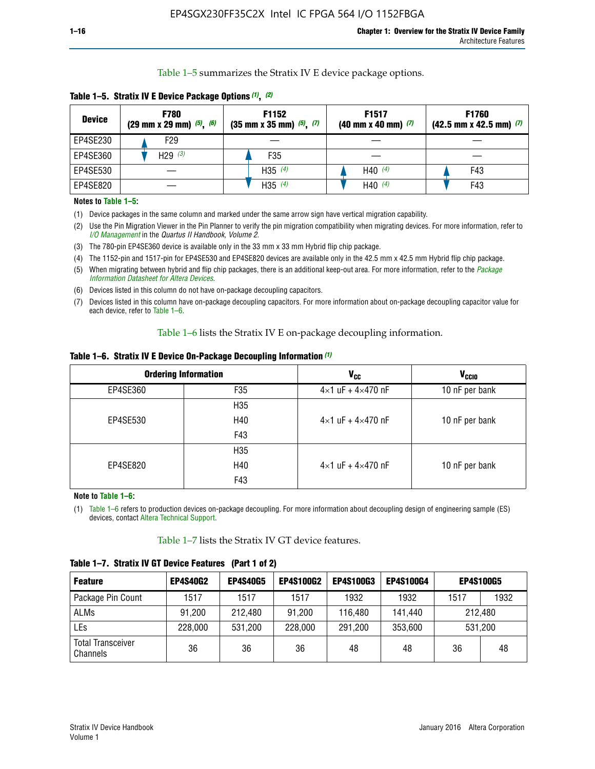Table 1–5 summarizes the Stratix IV E device package options.

| <b>Device</b> | <b>F780</b><br>$(29 \text{ mm} \times 29 \text{ mm})$ $(5)$ , $(6)$ | F1152<br>$(35 \text{ mm} \times 35 \text{ mm})$ $(5)$ , $(7)$ | F <sub>1517</sub><br>$(40 \text{ mm} \times 40 \text{ mm})$ (7) | <b>F1760</b><br>$(42.5$ mm x 42.5 mm) $(7)$ |
|---------------|---------------------------------------------------------------------|---------------------------------------------------------------|-----------------------------------------------------------------|---------------------------------------------|
| EP4SE230      | F29                                                                 |                                                               |                                                                 |                                             |
| EP4SE360      | H29 $(3)$                                                           | F35                                                           |                                                                 |                                             |
| EP4SE530      |                                                                     | H35 $(4)$                                                     | H40 $(4)$                                                       | F43                                         |
| EP4SE820      |                                                                     | H35 $(4)$                                                     | H40 $(4)$                                                       | F43                                         |

**Table 1–5. Stratix IV E Device Package Options** *(1)***,** *(2)*

#### **Notes to Table 1–5:**

(1) Device packages in the same column and marked under the same arrow sign have vertical migration capability.

(2) Use the Pin Migration Viewer in the Pin Planner to verify the pin migration compatibility when migrating devices. For more information, refer to *[I/O Management](http://www.altera.com/literature/hb/qts/qts_qii52013.pdf)* in the *Quartus II Handbook, Volume 2*.

(3) The 780-pin EP4SE360 device is available only in the 33 mm x 33 mm Hybrid flip chip package.

(4) The 1152-pin and 1517-pin for EP4SE530 and EP4SE820 devices are available only in the 42.5 mm x 42.5 mm Hybrid flip chip package.

(5) When migrating between hybrid and flip chip packages, there is an additional keep-out area. For more information, refer to the *[Package](http://www.altera.com/literature/ds/dspkg.pdf)  [Information Datasheet for Altera Devices](http://www.altera.com/literature/ds/dspkg.pdf)*.

(6) Devices listed in this column do not have on-package decoupling capacitors.

(7) Devices listed in this column have on-package decoupling capacitors. For more information about on-package decoupling capacitor value for each device, refer to Table 1–6.

Table 1–6 lists the Stratix IV E on-package decoupling information.

| Table 1–6. Stratix IV E Device On-Package Decoupling Information (1) |  |  |  |  |  |
|----------------------------------------------------------------------|--|--|--|--|--|
|----------------------------------------------------------------------|--|--|--|--|--|

|          | <b>Ordering Information</b> | V <sub>cc</sub>                     | <b>V<sub>CCIO</sub></b> |
|----------|-----------------------------|-------------------------------------|-------------------------|
| EP4SE360 | F <sub>35</sub>             | $4 \times 1$ uF + $4 \times 470$ nF | 10 nF per bank          |
|          | H35                         |                                     |                         |
| EP4SE530 | H40                         | $4\times1$ uF + $4\times470$ nF     | 10 nF per bank          |
|          | F43                         |                                     |                         |
|          | H35                         |                                     |                         |
| EP4SE820 | H40                         | $4\times1$ uF + $4\times470$ nF     | 10 nF per bank          |
|          | F43                         |                                     |                         |

**Note to Table 1–6:**

(1) Table 1–6 refers to production devices on-package decoupling. For more information about decoupling design of engineering sample (ES) devices, contact [Altera Technical Support](http://mysupport.altera.com/eservice/login.asp).

Table 1–7 lists the Stratix IV GT device features.

| <b>Feature</b>                       | <b>EP4S40G2</b> | <b>EP4S40G5</b> | <b>EP4S100G2</b> | <b>EP4S100G3</b> | <b>EP4S100G4</b> |      | <b>EP4S100G5</b> |
|--------------------------------------|-----------------|-----------------|------------------|------------------|------------------|------|------------------|
| Package Pin Count                    | 1517            | 1517            | 1517             | 1932             | 1932             | 1517 | 1932             |
| <b>ALMs</b>                          | 91,200          | 212,480         | 91,200           | 116,480          | 141,440          |      | 212.480          |
| LEs                                  | 228,000         | 531,200         | 228,000          | 291,200          | 353,600          |      | 531,200          |
| <b>Total Transceiver</b><br>Channels | 36              | 36              | 36               | 48               | 48               | 36   | 48               |

**Table 1–7. Stratix IV GT Device Features (Part 1 of 2)**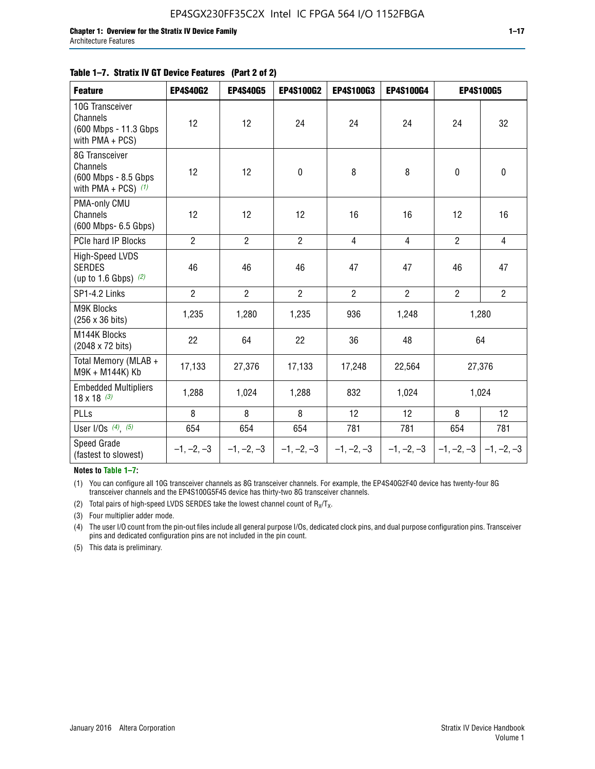| <b>Feature</b>                                                               | <b>EP4S40G2</b> | <b>EP4S40G5</b> | EP4S100G2      | EP4S100G3      | EP4S100G4      | <b>EP4S100G5</b>          |                |
|------------------------------------------------------------------------------|-----------------|-----------------|----------------|----------------|----------------|---------------------------|----------------|
| 10G Transceiver<br>Channels<br>(600 Mbps - 11.3 Gbps)<br>with PMA + PCS)     | 12              | 12              | 24             | 24             | 24             | 24                        | 32             |
| 8G Transceiver<br>Channels<br>(600 Mbps - 8.5 Gbps)<br>with PMA + PCS) $(1)$ | 12              | 12              | 0              | 8              | 8              | $\mathbf 0$               | 0              |
| PMA-only CMU<br>Channels<br>(600 Mbps- 6.5 Gbps)                             | 12              | 12              | 12             | 16             | 16             | 12                        | 16             |
| PCIe hard IP Blocks                                                          | $\overline{2}$  | $\overline{2}$  | $\overline{2}$ | $\overline{4}$ | $\overline{4}$ | $\overline{2}$            | $\overline{4}$ |
| <b>High-Speed LVDS</b><br><b>SERDES</b><br>(up to 1.6 Gbps) $(2)$            | 46              | 46              | 46             | 47             | 47             | 46                        | 47             |
| SP1-4.2 Links                                                                | $\overline{2}$  | $\overline{2}$  | $\overline{2}$ | $\overline{2}$ | $\overline{2}$ | $\overline{2}$            | $\overline{2}$ |
| <b>M9K Blocks</b><br>(256 x 36 bits)                                         | 1,235           | 1,280           | 1,235          | 936            | 1,248          |                           | 1,280          |
| M144K Blocks<br>(2048 x 72 bits)                                             | 22              | 64              | 22             | 36             | 48             |                           | 64             |
| Total Memory (MLAB +<br>M9K + M144K) Kb                                      | 17,133          | 27,376          | 17,133         | 17,248         | 22,564         |                           | 27,376         |
| <b>Embedded Multipliers</b><br>$18 \times 18^{(3)}$                          | 1,288           | 1,024           | 1,288          | 832            | 1,024          |                           | 1,024          |
| PLLs                                                                         | 8               | 8               | 8              | 12             | 12             | 8                         | 12             |
| User I/Os $(4)$ , $(5)$                                                      | 654             | 654             | 654            | 781            | 781            | 654                       | 781            |
| Speed Grade<br>(fastest to slowest)                                          | $-1, -2, -3$    | $-1, -2, -3$    | $-1, -2, -3$   | $-1, -2, -3$   | $-1, -2, -3$   | $-1, -2, -3$ $-1, -2, -3$ |                |

**Notes to Table 1–7:**

(1) You can configure all 10G transceiver channels as 8G transceiver channels. For example, the EP4S40G2F40 device has twenty-four 8G transceiver channels and the EP4S100G5F45 device has thirty-two 8G transceiver channels.

(2) Total pairs of high-speed LVDS SERDES take the lowest channel count of  $R_X/T_X$ .

(3) Four multiplier adder mode.

(4) The user I/O count from the pin-out files include all general purpose I/Os, dedicated clock pins, and dual purpose configuration pins. Transceiver pins and dedicated configuration pins are not included in the pin count.

(5) This data is preliminary.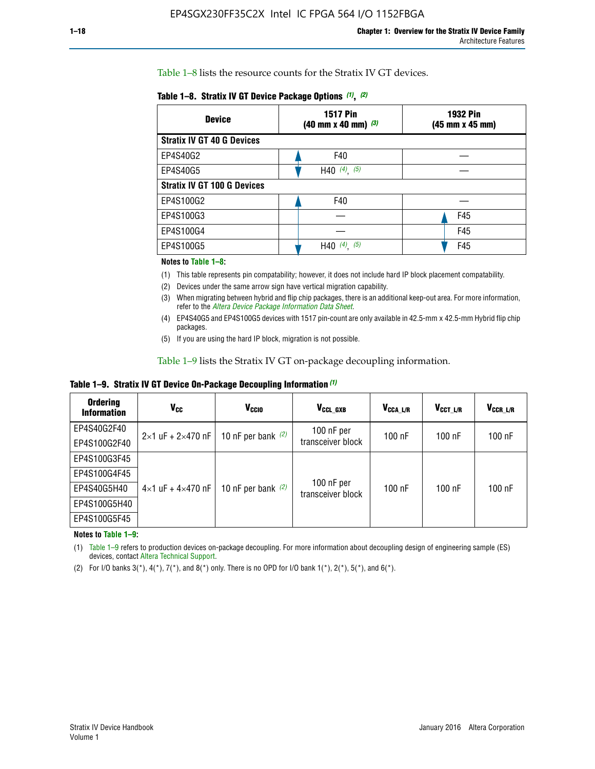Table 1–8 lists the resource counts for the Stratix IV GT devices.

| <b>Device</b>                      | <b>1517 Pin</b><br>$(40 \text{ mm} \times 40 \text{ mm})$ $(3)$ | <b>1932 Pin</b><br>(45 mm x 45 mm) |  |
|------------------------------------|-----------------------------------------------------------------|------------------------------------|--|
| <b>Stratix IV GT 40 G Devices</b>  |                                                                 |                                    |  |
| EP4S40G2                           | F40                                                             |                                    |  |
| EP4S40G5                           | H40 $(4)$ , $(5)$                                               |                                    |  |
| <b>Stratix IV GT 100 G Devices</b> |                                                                 |                                    |  |
| EP4S100G2                          | F40                                                             |                                    |  |
| EP4S100G3                          |                                                                 | F45                                |  |
| EP4S100G4                          |                                                                 | F45                                |  |
| EP4S100G5                          | $(4)$ $(5)$<br>H40                                              | F45                                |  |

#### **Notes to Table 1–8:**

(1) This table represents pin compatability; however, it does not include hard IP block placement compatability.

- (2) Devices under the same arrow sign have vertical migration capability.
- (3) When migrating between hybrid and flip chip packages, there is an additional keep-out area. For more information, refer to the *[Altera Device Package Information Data Sheet](http://www.altera.com/literature/ds/dspkg.pdf)*.
- (4) EP4S40G5 and EP4S100G5 devices with 1517 pin-count are only available in 42.5-mm x 42.5-mm Hybrid flip chip packages.
- (5) If you are using the hard IP block, migration is not possible.

Table 1–9 lists the Stratix IV GT on-package decoupling information.

**Table 1–9. Stratix IV GT Device On-Package Decoupling Information** *(1)*

| <b>Ordering</b><br><b>Information</b> | Vcc                                 | <b>V<sub>CCIO</sub></b> | V <sub>CCL GXB</sub>            | V <sub>CCA L/R</sub> | V <sub>CCT L/R</sub> | $V_{CCR\_L/R}$ |
|---------------------------------------|-------------------------------------|-------------------------|---------------------------------|----------------------|----------------------|----------------|
| EP4S40G2F40                           | $2 \times 1$ uF + $2 \times 470$ nF | 10 nF per bank $(2)$    | 100 nF per<br>transceiver block | $100$ nF             | $100$ nF             | $100$ nF       |
| EP4S100G2F40                          |                                     |                         |                                 |                      |                      |                |
| EP4S100G3F45                          |                                     | 10 nF per bank $(2)$    | 100 nF per<br>transceiver block | $100$ nF             | $100$ nF             | $100$ nF       |
| EP4S100G4F45                          |                                     |                         |                                 |                      |                      |                |
| EP4S40G5H40                           | $4\times1$ uF + $4\times470$ nF     |                         |                                 |                      |                      |                |
| EP4S100G5H40                          |                                     |                         |                                 |                      |                      |                |
| EP4S100G5F45                          |                                     |                         |                                 |                      |                      |                |

**Notes to Table 1–9:**

(1) Table 1–9 refers to production devices on-package decoupling. For more information about decoupling design of engineering sample (ES) devices, contact [Altera Technical Support](http://mysupport.altera.com/eservice/login.asp).

(2) For I/O banks  $3(*)$ ,  $4(*)$ ,  $7(*)$ , and  $8(*)$  only. There is no OPD for I/O bank  $1(*)$ ,  $2(*)$ ,  $5(*)$ , and  $6(*)$ .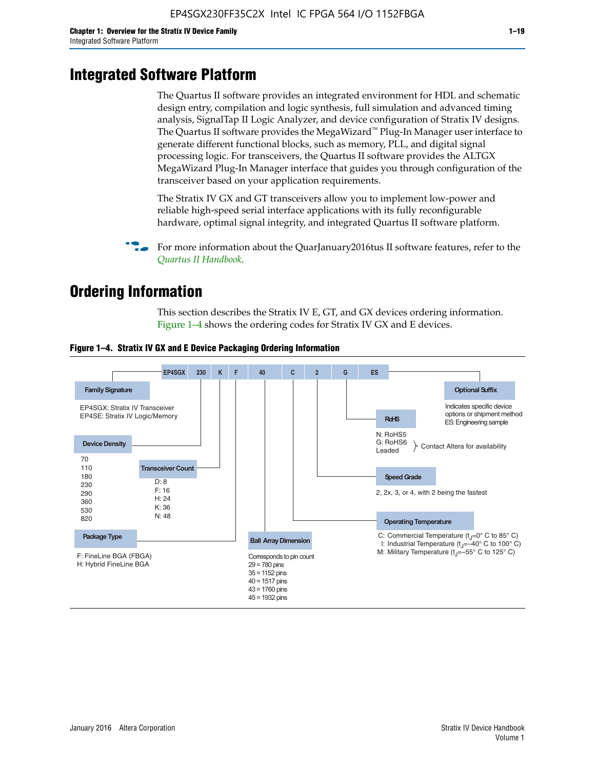# **Integrated Software Platform**

The Quartus II software provides an integrated environment for HDL and schematic design entry, compilation and logic synthesis, full simulation and advanced timing analysis, SignalTap II Logic Analyzer, and device configuration of Stratix IV designs. The Quartus II software provides the MegaWizard<sup> $M$ </sup> Plug-In Manager user interface to generate different functional blocks, such as memory, PLL, and digital signal processing logic. For transceivers, the Quartus II software provides the ALTGX MegaWizard Plug-In Manager interface that guides you through configuration of the transceiver based on your application requirements.

The Stratix IV GX and GT transceivers allow you to implement low-power and reliable high-speed serial interface applications with its fully reconfigurable hardware, optimal signal integrity, and integrated Quartus II software platform.

For more information about the QuarJanuary2016tus II software features, refer to the *[Quartus II Handbook](http://www.altera.com/literature/lit-qts.jsp)*.

# **Ordering Information**

This section describes the Stratix IV E, GT, and GX devices ordering information. Figure 1–4 shows the ordering codes for Stratix IV GX and E devices.



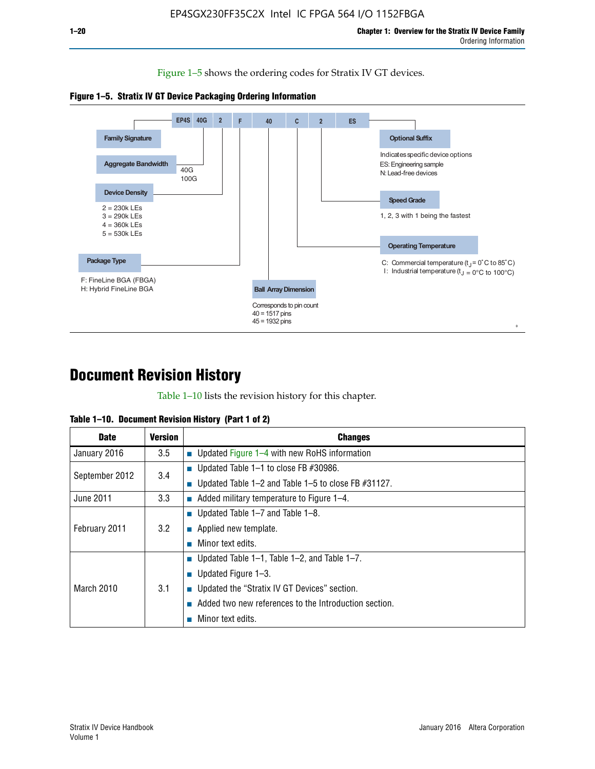Figure 1–5 shows the ordering codes for Stratix IV GT devices.





# **Document Revision History**

Table 1–10 lists the revision history for this chapter.

| Table 1–10. Document Revision History (Part 1 of 2) |  |  |  |  |  |
|-----------------------------------------------------|--|--|--|--|--|
|-----------------------------------------------------|--|--|--|--|--|

| <b>Date</b>       | Version | <b>Changes</b>                                         |
|-------------------|---------|--------------------------------------------------------|
| January 2016      | 3.5     | <b>Updated Figure 1–4 with new RoHS information</b>    |
| September 2012    | 3.4     | ■ Updated Table 1–1 to close FB $#30986$ .             |
|                   |         | Updated Table 1–2 and Table 1–5 to close FB $#31127$ . |
| June 2011         | 3.3     | Added military temperature to Figure 1–4.              |
| February 2011     |         | ■ Updated Table 1–7 and Table 1–8.                     |
|                   | 3.2     | $\blacksquare$ Applied new template.                   |
|                   |         | Minor text edits.                                      |
| <b>March 2010</b> |         | <b>Updated Table 1–1, Table 1–2, and Table 1–7.</b>    |
|                   | 3.1     | ■ Updated Figure $1-3$ .                               |
|                   |         | ■ Updated the "Stratix IV GT Devices" section.         |
|                   |         | Added two new references to the Introduction section.  |
|                   |         | Minor text edits.                                      |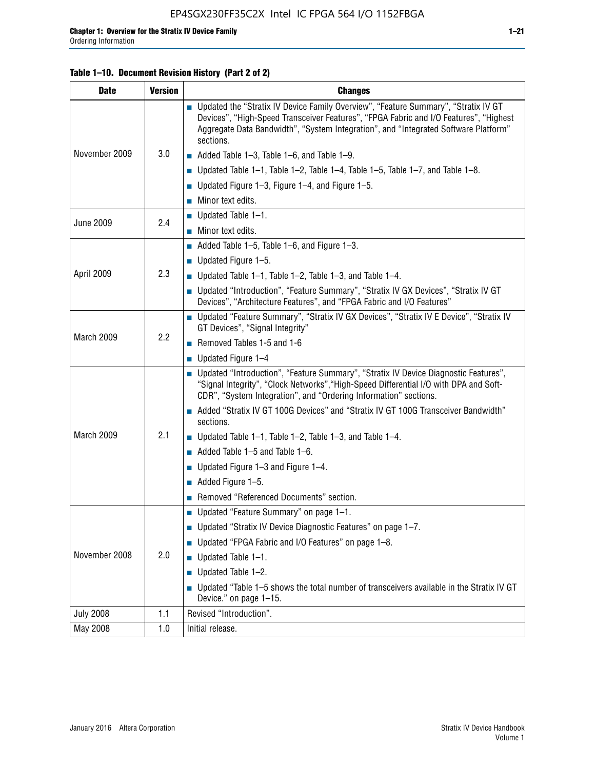#### **Table 1–10. Document Revision History (Part 2 of 2)**

| <b>Date</b>      | <b>Version</b> | <b>Changes</b>                                                                                                                                                                                                                                                                    |  |  |
|------------------|----------------|-----------------------------------------------------------------------------------------------------------------------------------------------------------------------------------------------------------------------------------------------------------------------------------|--|--|
|                  |                | ■ Updated the "Stratix IV Device Family Overview", "Feature Summary", "Stratix IV GT<br>Devices", "High-Speed Transceiver Features", "FPGA Fabric and I/O Features", "Highest<br>Aggregate Data Bandwidth", "System Integration", and "Integrated Software Platform"<br>sections. |  |  |
| November 2009    | 3.0            | $\blacksquare$ Added Table 1-3, Table 1-6, and Table 1-9.                                                                                                                                                                                                                         |  |  |
|                  |                | $\blacksquare$ Updated Table 1-1, Table 1-2, Table 1-4, Table 1-5, Table 1-7, and Table 1-8.                                                                                                                                                                                      |  |  |
|                  |                | ■ Updated Figure 1–3, Figure 1–4, and Figure 1–5.                                                                                                                                                                                                                                 |  |  |
|                  |                | $\blacksquare$ Minor text edits.                                                                                                                                                                                                                                                  |  |  |
|                  | 2.4            | $\blacksquare$ Updated Table 1-1.                                                                                                                                                                                                                                                 |  |  |
| <b>June 2009</b> |                | Minor text edits.                                                                                                                                                                                                                                                                 |  |  |
|                  |                | $\blacksquare$ Added Table 1–5, Table 1–6, and Figure 1–3.                                                                                                                                                                                                                        |  |  |
|                  |                | <b>Updated Figure 1-5.</b>                                                                                                                                                                                                                                                        |  |  |
| April 2009       | 2.3            | Updated Table $1-1$ , Table $1-2$ , Table $1-3$ , and Table $1-4$ .                                                                                                                                                                                                               |  |  |
|                  |                | ■ Updated "Introduction", "Feature Summary", "Stratix IV GX Devices", "Stratix IV GT<br>Devices", "Architecture Features", and "FPGA Fabric and I/O Features"                                                                                                                     |  |  |
|                  | 2.2            | ■ Updated "Feature Summary", "Stratix IV GX Devices", "Stratix IV E Device", "Stratix IV<br>GT Devices", "Signal Integrity"                                                                                                                                                       |  |  |
| March 2009       |                | Removed Tables 1-5 and 1-6                                                                                                                                                                                                                                                        |  |  |
|                  |                | $\blacksquare$ Updated Figure 1-4                                                                                                                                                                                                                                                 |  |  |
|                  |                | ■ Updated "Introduction", "Feature Summary", "Stratix IV Device Diagnostic Features",<br>"Signal Integrity", "Clock Networks", "High-Speed Differential I/O with DPA and Soft-<br>CDR", "System Integration", and "Ordering Information" sections.                                |  |  |
|                  |                | Added "Stratix IV GT 100G Devices" and "Stratix IV GT 100G Transceiver Bandwidth"<br>sections.                                                                                                                                                                                    |  |  |
| March 2009       | 2.1            | ■ Updated Table 1–1, Table 1–2, Table 1–3, and Table 1–4.                                                                                                                                                                                                                         |  |  |
|                  |                | $\blacksquare$ Added Table 1–5 and Table 1–6.                                                                                                                                                                                                                                     |  |  |
|                  |                | ■ Updated Figure 1–3 and Figure 1–4.                                                                                                                                                                                                                                              |  |  |
|                  |                | $\blacksquare$ Added Figure 1-5.                                                                                                                                                                                                                                                  |  |  |
|                  |                | Removed "Referenced Documents" section.                                                                                                                                                                                                                                           |  |  |
|                  |                | ■ Updated "Feature Summary" on page 1-1.                                                                                                                                                                                                                                          |  |  |
| November 2008    |                | ■ Updated "Stratix IV Device Diagnostic Features" on page 1-7.                                                                                                                                                                                                                    |  |  |
|                  | 2.0            | Updated "FPGA Fabric and I/O Features" on page 1-8.                                                                                                                                                                                                                               |  |  |
|                  |                | $\blacksquare$ Updated Table 1-1.                                                                                                                                                                                                                                                 |  |  |
|                  |                | Updated Table 1-2.                                                                                                                                                                                                                                                                |  |  |
|                  |                | Updated "Table 1-5 shows the total number of transceivers available in the Stratix IV GT<br>Device." on page 1-15.                                                                                                                                                                |  |  |
| <b>July 2008</b> | 1.1            | Revised "Introduction".                                                                                                                                                                                                                                                           |  |  |
| May 2008         | 1.0            | Initial release.                                                                                                                                                                                                                                                                  |  |  |